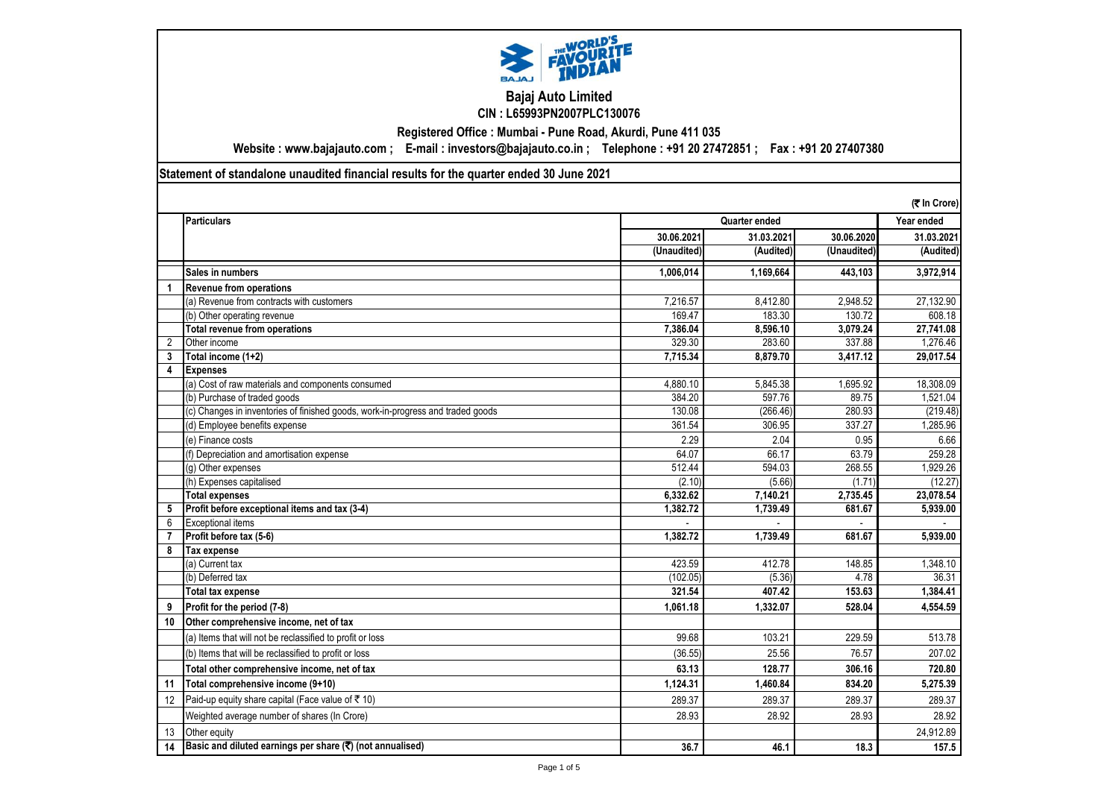

### **Bajaj Auto Limited CIN : L65993PN2007PLC130076**

**Registered Office : Mumbai - Pune Road, Akurdi, Pune 411 035**

**Website : www.bajajauto.com ; E-mail : investors@bajajauto.co.in ; Telephone : +91 20 27472851 ; Fax : +91 20 27407380**

**Statement of standalone unaudited financial results for the quarter ended 30 June 2021**

|                |                                                                                 |             |               |             | (そ In Crore) |
|----------------|---------------------------------------------------------------------------------|-------------|---------------|-------------|--------------|
|                | <b>Particulars</b>                                                              |             | Quarter ended |             | Year ended   |
|                |                                                                                 | 30.06.2021  | 31.03.2021    | 30.06.2020  | 31.03.2021   |
|                |                                                                                 | (Unaudited) | (Audited)     | (Unaudited) | (Audited)    |
|                | Sales in numbers                                                                | 1,006,014   | 1,169,664     | 443,103     | 3,972,914    |
| $\mathbf{1}$   | <b>Revenue from operations</b>                                                  |             |               |             |              |
|                | (a) Revenue from contracts with customers                                       | 7.216.57    | 8,412.80      | 2,948.52    | 27,132.90    |
|                | (b) Other operating revenue                                                     | 169.47      | 183.30        | 130.72      | 608.18       |
|                | <b>Total revenue from operations</b>                                            | 7.386.04    | 8,596.10      | 3,079.24    | 27,741.08    |
| $\overline{2}$ | Other income                                                                    | 329.30      | 283.60        | 337.88      | 1,276.46     |
| 3              | Total income (1+2)                                                              | 7.715.34    | 8,879.70      | 3,417.12    | 29,017.54    |
| 4              | <b>Expenses</b>                                                                 |             |               |             |              |
|                | (a) Cost of raw materials and components consumed                               | 4,880.10    | 5,845.38      | 1,695.92    | 18,308.09    |
|                | (b) Purchase of traded goods                                                    | 384.20      | 597.76        | 89.75       | 1.521.04     |
|                | (c) Changes in inventories of finished goods, work-in-progress and traded goods | 130.08      | (266.46)      | 280.93      | (219.48)     |
|                | (d) Employee benefits expense                                                   | 361.54      | 306.95        | 337.27      | 1,285.96     |
|                | (e) Finance costs                                                               | 2.29        | 2.04          | 0.95        | 6.66         |
|                | (f) Depreciation and amortisation expense                                       | 64.07       | 66.17         | 63.79       | 259.28       |
|                | (q) Other expenses                                                              | 512.44      | 594.03        | 268.55      | 1,929.26     |
|                | (h) Expenses capitalised                                                        | (2.10)      | (5.66)        | (1.71)      | (12.27)      |
|                | <b>Total expenses</b>                                                           | 6,332.62    | 7,140.21      | 2.735.45    | 23,078.54    |
| 5              | Profit before exceptional items and tax (3-4)                                   | 1,382.72    | 1,739.49      | 681.67      | 5,939.00     |
| 6              | <b>Exceptional items</b>                                                        |             |               |             |              |
| $\overline{7}$ | Profit before tax (5-6)                                                         | 1.382.72    | 1.739.49      | 681.67      | 5,939.00     |
| 8              | Tax expense                                                                     |             |               |             |              |
|                | (a) Current tax                                                                 | 423.59      | 412.78        | 148.85      | 1.348.10     |
|                | (b) Deferred tax                                                                | (102.05)    | (5.36)        | 4.78        | 36.31        |
|                | <b>Total tax expense</b>                                                        | 321.54      | 407.42        | 153.63      | 1,384.41     |
| 9              | Profit for the period (7-8)                                                     | 1,061.18    | 1,332.07      | 528.04      | 4,554.59     |
| 10             | Other comprehensive income, net of tax                                          |             |               |             |              |
|                | (a) Items that will not be reclassified to profit or loss                       | 99.68       | 103.21        | 229.59      | 513.78       |
|                | (b) Items that will be reclassified to profit or loss                           | (36.55)     | 25.56         | 76.57       | 207.02       |
|                | Total other comprehensive income, net of tax                                    | 63.13       | 128.77        | 306.16      | 720.80       |
| 11             | Total comprehensive income (9+10)                                               | 1.124.31    | 1.460.84      | 834.20      | 5,275.39     |
| 12             | Paid-up equity share capital (Face value of $\bar{\tau}$ 10)                    | 289.37      | 289.37        | 289.37      | 289.37       |
|                | Weighted average number of shares (In Crore)                                    | 28.93       | 28.92         | 28.93       | 28.92        |
| 13             | Other equity                                                                    |             |               |             | 24,912.89    |
| 14             | Basic and diluted earnings per share $(\overline{\mathbf{x}})$ (not annualised) | 36.7        | 46.1          | 18.3        | 157.5        |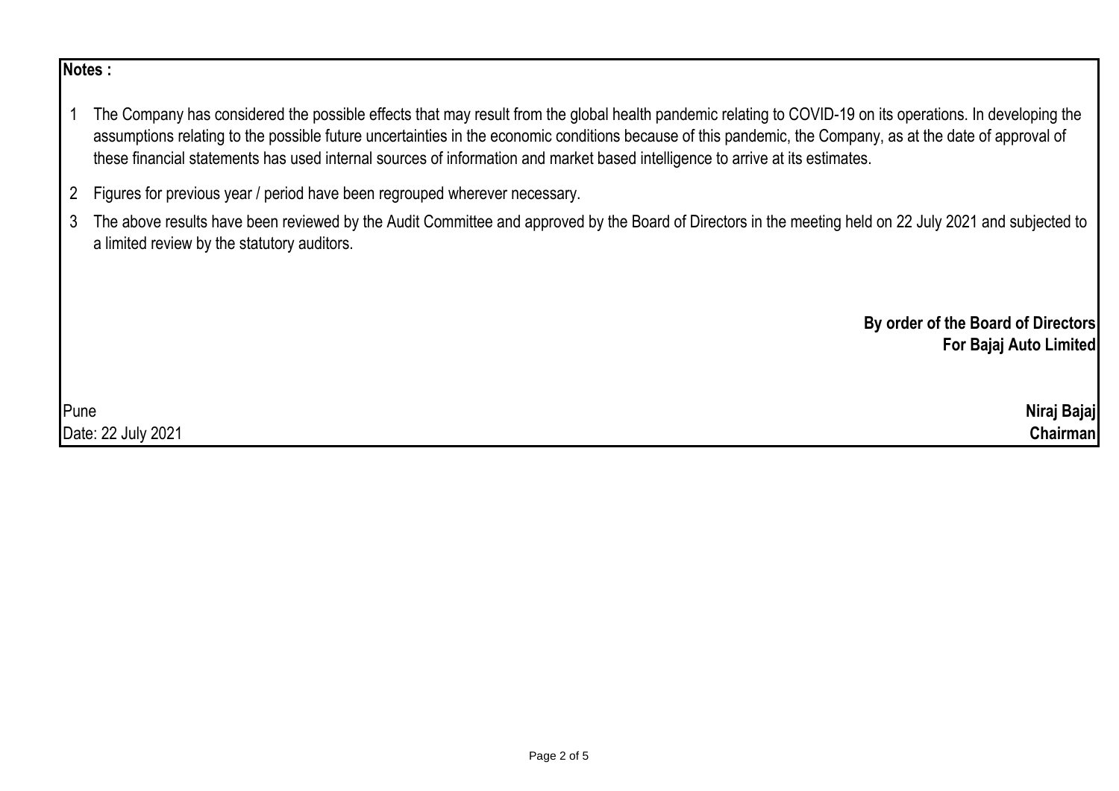# **Notes :**

- 1 The Company has considered the possible effects that may result from the global health pandemic relating to COVID-19 on its operations. In developing the assumptions relating to the possible future uncertainties in the economic conditions because of this pandemic, the Company, as at the date of approval of these financial statements has used internal sources of information and market based intelligence to arrive at its estimates.
- 2 Figures for previous year / period have been regrouped wherever necessary.
- 3 The above results have been reviewed by the Audit Committee and approved by the Board of Directors in the meeting held on 22 July 2021 and subjected to a limited review by the statutory auditors.

**By order of the Board of Directors For Bajaj Auto Limited**

| Pune                       | Niraj Bajaj      |
|----------------------------|------------------|
| . 22 July 2021<br>Date: 22 | $\gamma$ hairman |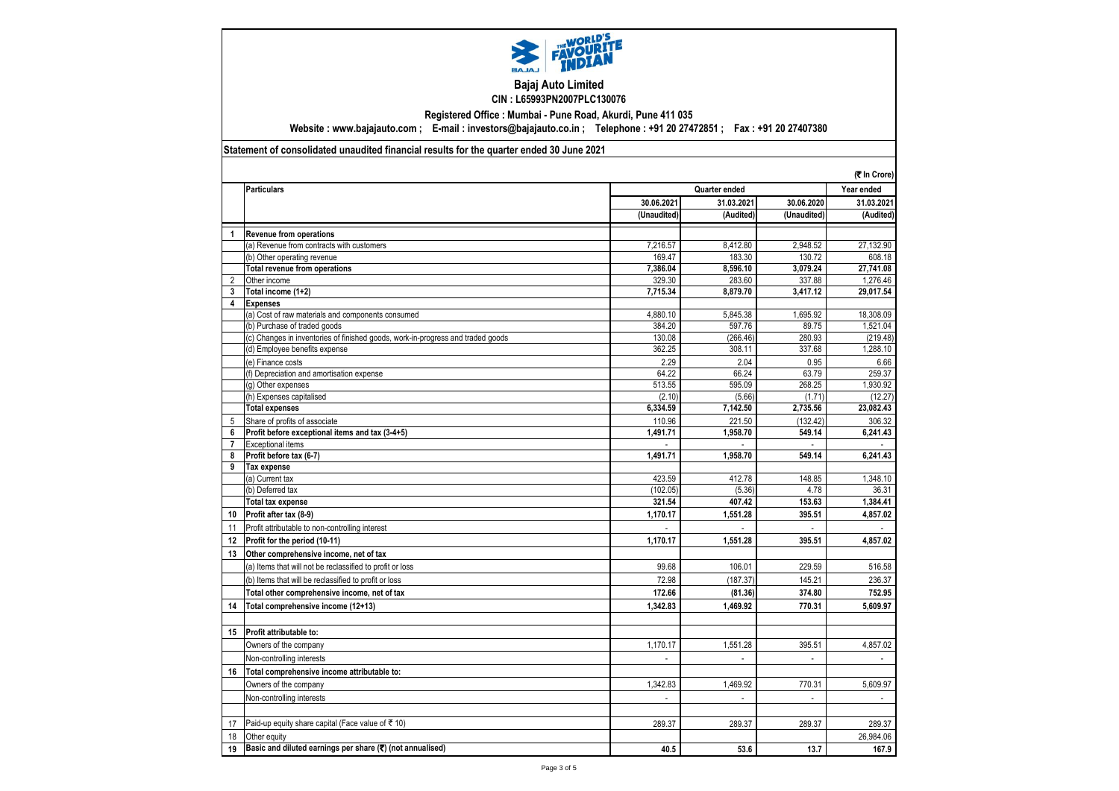

#### **Bajaj Auto Limited CIN : L65993PN2007PLC130076**

**Registered Office : Mumbai - Pune Road, Akurdi, Pune 411 035**

**Website : www.bajajauto.com ; E-mail : investors@bajajauto.co.in ; Telephone : +91 20 27472851 ; Fax : +91 20 27407380**

#### **Statement of consolidated unaudited financial results for the quarter ended 30 June 2021**

|                         |                                                                                 |                    |                  |                | (そ In Crore)                         |
|-------------------------|---------------------------------------------------------------------------------|--------------------|------------------|----------------|--------------------------------------|
|                         | <b>Particulars</b>                                                              |                    | Quarter ended    |                |                                      |
|                         |                                                                                 | 30.06.2021         | 31.03.2021       | 30.06.2020     | Year ended<br>31.03.202<br>(Audited) |
|                         |                                                                                 | (Unaudited)        | (Audited)        | (Unaudited)    |                                      |
| $\overline{1}$          | <b>Revenue from operations</b>                                                  |                    |                  |                |                                      |
|                         | (a) Revenue from contracts with customers                                       | 7,216.57           | 8,412.80         | 2,948.52       | 27,132.90                            |
|                         | (b) Other operating revenue                                                     | 169.47             | 183.30           | 130.72         | 608.18                               |
|                         | Total revenue from operations                                                   | 7,386.04           | 8,596.10         | 3,079.24       | 27,741.08                            |
| $\overline{2}$          | Other income                                                                    | 329.30             | 283.60           | 337.88         | 1,276.46                             |
| 3                       | Total income (1+2)                                                              | 7,715.34           | 8,879.70         | 3,417.12       | 29,017.54                            |
| $\overline{\mathbf{4}}$ | <b>Expenses</b>                                                                 |                    |                  |                |                                      |
|                         | (a) Cost of raw materials and components consumed                               | 4.880.10           | 5.845.38         | 1,695.92       | 18,308.09                            |
|                         | (b) Purchase of traded goods                                                    | 384.20             | 597.76           | 89.75          | 1,521.04                             |
|                         | (c) Changes in inventories of finished goods, work-in-progress and traded goods | 130.08             | (266.46)         | 280.93         | (219.48)                             |
|                         | (d) Employee benefits expense                                                   | 362.25             | 308.11           | 337.68         | 1,288.10                             |
|                         | (e) Finance costs                                                               | 2.29               | 2.04             | 0.95           | 6.66                                 |
|                         | (f) Depreciation and amortisation expense                                       | 64.22              | 66.24            | 63.79          | 259.37                               |
|                         | (g) Other expenses                                                              | 513.55             | 595.09           | 268.25         | 1,930.92                             |
|                         | (h) Expenses capitalised                                                        | (2.10)             | (5.66)           | (1.71)         | (12.27)                              |
|                         | <b>Total expenses</b>                                                           | 6,334.59           | 7,142.50         | 2,735.56       | 23,082.43                            |
| 5                       | Share of profits of associate                                                   | 110.96             | 221.50           | (132.42)       | 306.32                               |
| 6                       | Profit before exceptional items and tax (3-4+5)                                 | 1.491.71           | 1,958.70         | 549.14         | 6.241.43                             |
| $\overline{7}$          | <b>Exceptional items</b>                                                        |                    |                  |                |                                      |
| 8<br>9                  | Profit before tax (6-7)                                                         | 1,491.71           | 1,958.70         | 549.14         | 6,241.43                             |
|                         | Tax expense                                                                     |                    |                  |                |                                      |
|                         | (a) Current tax                                                                 | 423.59<br>(102.05) | 412.78<br>(5.36) | 148.85<br>4.78 | 1,348.10<br>36.31                    |
|                         | (b) Deferred tax<br><b>Total tax expense</b>                                    | 321.54             | 407.42           | 153.63         | 1,384.41                             |
|                         |                                                                                 |                    |                  |                |                                      |
| 10                      | Profit after tax (8-9)                                                          | 1,170.17           | 1,551.28         | 395.51         | 4,857.02                             |
| 11                      | Profit attributable to non-controlling interest                                 |                    |                  |                |                                      |
| 12                      | Profit for the period (10-11)                                                   | 1,170.17           | 1,551.28         | 395.51         | 4,857.02                             |
| 13                      | Other comprehensive income, net of tax                                          |                    |                  |                |                                      |
|                         | (a) Items that will not be reclassified to profit or loss                       | 99.68              | 106.01           | 229.59         | 516.58                               |
|                         | (b) Items that will be reclassified to profit or loss                           | 72.98              | (187.37)         | 145.21         | 236.37                               |
|                         | Total other comprehensive income, net of tax                                    | 172.66             | (81.36)          | 374.80         | 752.95                               |
| 14                      | Total comprehensive income (12+13)                                              | 1,342.83           | 1.469.92         | 770.31         | 5,609.97                             |
|                         |                                                                                 |                    |                  |                |                                      |
| 15                      | Profit attributable to:                                                         |                    |                  |                |                                      |
|                         | Owners of the company                                                           | 1,170.17           | 1,551.28         | 395.51         | 4,857.02                             |
|                         | Non-controlling interests                                                       | $\blacksquare$     | $\overline{a}$   | $\overline{a}$ |                                      |
| 16                      | Total comprehensive income attributable to:                                     |                    |                  |                |                                      |
|                         | Owners of the company                                                           | 1,342.83           | 1,469.92         | 770.31         | 5,609.97                             |
|                         | Non-controlling interests                                                       | $\blacksquare$     | $\blacksquare$   | $\sim$         | $\overline{\phantom{a}}$             |
|                         |                                                                                 |                    |                  |                |                                      |
| 17                      | Paid-up equity share capital (Face value of ₹ 10)                               | 289.37             | 289.37           | 289.37         | 289.37                               |
| 18                      | Other equity                                                                    |                    |                  |                | 26,984.06                            |
| 19                      | Basic and diluted earnings per share $(\overline{\mathbf{x}})$ (not annualised) | 40.5               | 53.6             | 13.7           | 167.9                                |
|                         |                                                                                 |                    |                  |                |                                      |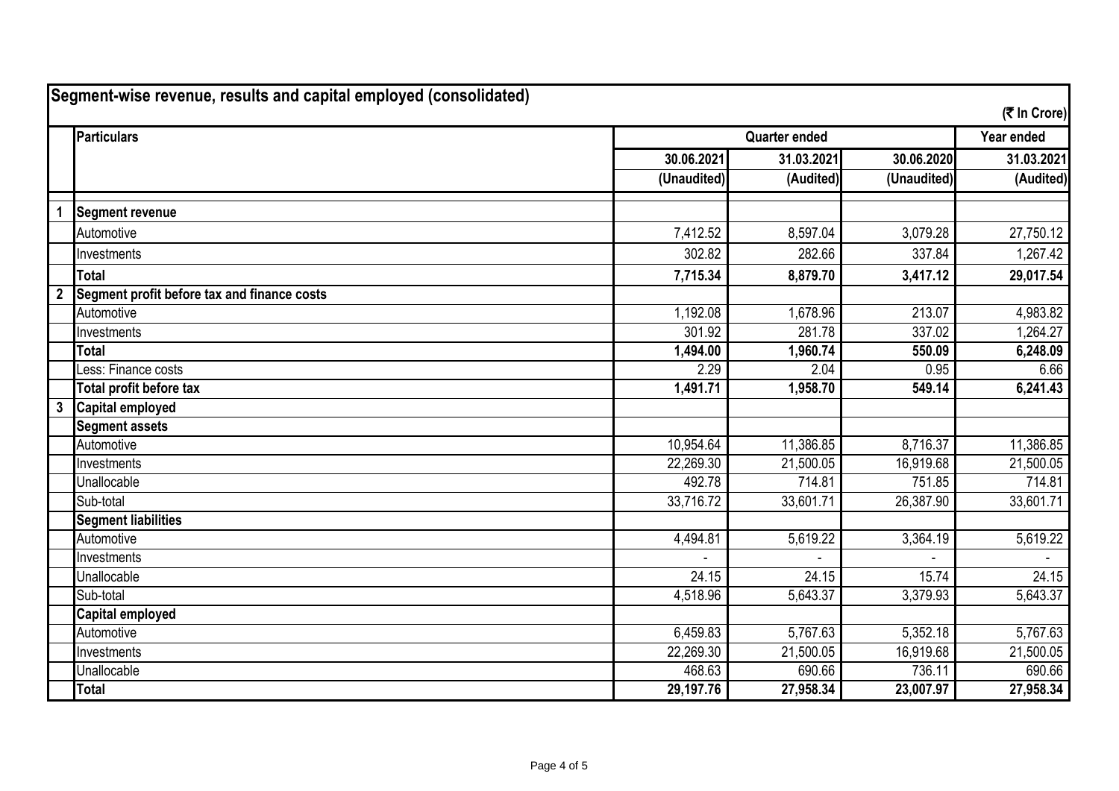| Segment-wise revenue, results and capital employed (consolidated)<br>(そ In Crore) |                                             |                      |            |             |            |
|-----------------------------------------------------------------------------------|---------------------------------------------|----------------------|------------|-------------|------------|
|                                                                                   | <b>Particulars</b>                          | <b>Quarter ended</b> |            |             | Year ended |
|                                                                                   |                                             | 30.06.2021           | 31.03.2021 | 30.06.2020  | 31.03.2021 |
|                                                                                   |                                             | (Unaudited)          | (Audited)  | (Unaudited) | (Audited)  |
| $\mathbf 1$                                                                       | <b>Segment revenue</b>                      |                      |            |             |            |
|                                                                                   | Automotive                                  | 7,412.52             | 8,597.04   | 3,079.28    | 27,750.12  |
|                                                                                   | Investments                                 | 302.82               | 282.66     | 337.84      | 1,267.42   |
|                                                                                   | <b>Total</b>                                | 7,715.34             | 8,879.70   | 3,417.12    | 29,017.54  |
| $\overline{2}$                                                                    | Segment profit before tax and finance costs |                      |            |             |            |
|                                                                                   | Automotive                                  | 1,192.08             | 1,678.96   | 213.07      | 4,983.82   |
|                                                                                   | Investments                                 | 301.92               | 281.78     | 337.02      | 1,264.27   |
|                                                                                   | <b>Total</b>                                | 1,494.00             | 1,960.74   | 550.09      | 6,248.09   |
|                                                                                   | Less: Finance costs                         | 2.29                 | 2.04       | 0.95        | 6.66       |
|                                                                                   | Total profit before tax                     | 1,491.71             | 1,958.70   | 549.14      | 6,241.43   |
| $\mathbf{3}$                                                                      | <b>Capital employed</b>                     |                      |            |             |            |
|                                                                                   | <b>Segment assets</b>                       |                      |            |             |            |
|                                                                                   | Automotive                                  | 10,954.64            | 11,386.85  | 8,716.37    | 11,386.85  |
|                                                                                   | Investments                                 | 22,269.30            | 21,500.05  | 16,919.68   | 21,500.05  |
|                                                                                   | Unallocable                                 | 492.78               | 714.81     | 751.85      | 714.81     |
|                                                                                   | Sub-total                                   | 33,716.72            | 33,601.71  | 26,387.90   | 33,601.71  |
|                                                                                   | <b>Segment liabilities</b>                  |                      |            |             |            |
|                                                                                   | Automotive                                  | 4,494.81             | 5,619.22   | 3,364.19    | 5,619.22   |
|                                                                                   | Investments                                 |                      |            |             |            |
|                                                                                   | Unallocable                                 | 24.15                | 24.15      | 15.74       | 24.15      |
|                                                                                   | Sub-total                                   | 4,518.96             | 5,643.37   | 3,379.93    | 5,643.37   |
|                                                                                   | <b>Capital employed</b>                     |                      |            |             |            |
|                                                                                   | Automotive                                  | 6,459.83             | 5,767.63   | 5,352.18    | 5,767.63   |
|                                                                                   | Investments                                 | 22,269.30            | 21,500.05  | 16,919.68   | 21,500.05  |
|                                                                                   | Unallocable                                 | 468.63               | 690.66     | 736.11      | 690.66     |
|                                                                                   | <b>Total</b>                                | 29,197.76            | 27,958.34  | 23,007.97   | 27,958.34  |